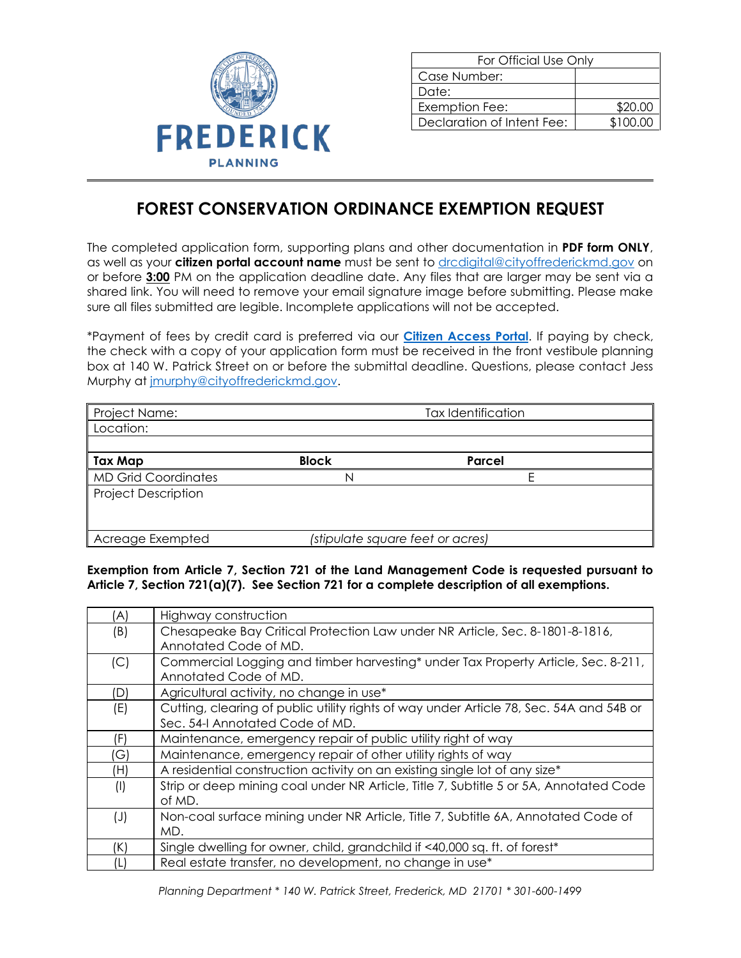

| For Official Use Only      |          |
|----------------------------|----------|
| Case Number:               |          |
| Date:                      |          |
| Exemption Fee:             | \$20.00  |
| Declaration of Intent Fee: | \$100.00 |

## **FOREST CONSERVATION ORDINANCE EXEMPTION REQUEST**

The completed application form, supporting plans and other documentation in **PDF form ONLY**, as well as your **citizen portal account name** must be sent to [drcdigital@cityoffrederickmd.gov](mailto:drcdigital@cityoffrederickmd.gov) on or before **3:00** PM on the application deadline date. Any files that are larger may be sent via a shared link. You will need to remove your email signature image before submitting. Please make sure all files submitted are legible. Incomplete applications will not be accepted.

\*Payment of fees by credit card is preferred via our **[Citizen Access Portal](https://gcc02.safelinks.protection.outlook.com/?url=https%3A%2F%2Fcitizenaccess.cityoffrederick.com%2Fcitizenaccess%2F&data=02%7C01%7Cgcollard%40cityoffrederickmd.gov%7Cad3d08217e17487711b308d7d4cd9765%7Cc379f8550dee4b099f890cee3aa7f761%7C0%7C0%7C637211851779890394&sdata=fTC85eZgbuzzFKzq%2Fio%2FHxCILWPquIWiY8bsVzLfTtM%3D&reserved=0)**. If paying by check, the check with a copy of your application form must be received in the front vestibule planning box at 140 W. Patrick Street on or before the submittal deadline. Questions, please contact Jess Murphy at [jmurphy@cityoffrederickmd.gov.](mailto:jmurphy@cityoffrederickmd.gov)

| Project Name:              | <b>Tax Identification</b>        |        |  |
|----------------------------|----------------------------------|--------|--|
| Location:                  |                                  |        |  |
|                            |                                  |        |  |
| <b>Tax Map</b>             | <b>Block</b>                     | Parcel |  |
| <b>MD Grid Coordinates</b> | N                                |        |  |
| <b>Project Description</b> |                                  |        |  |
|                            |                                  |        |  |
|                            |                                  |        |  |
| Acreage Exempted           | (stipulate square feet or acres) |        |  |

**Exemption from Article 7, Section 721 of the Land Management Code is requested pursuant to Article 7, Section 721(a)(7). See Section 721 for a complete description of all exemptions.** 

| (A)       | Highway construction                                                                    |
|-----------|-----------------------------------------------------------------------------------------|
| (B)       | Chesapeake Bay Critical Protection Law under NR Article, Sec. 8-1801-8-1816,            |
|           | Annotated Code of MD.                                                                   |
| (C)       | Commercial Logging and timber harvesting* under Tax Property Article, Sec. 8-211,       |
|           | Annotated Code of MD.                                                                   |
| (D)       | Agricultural activity, no change in use*                                                |
| (E)       | Cutting, clearing of public utility rights of way under Article 78, Sec. 54A and 54B or |
|           | Sec. 54-I Annotated Code of MD.                                                         |
| (F)       | Maintenance, emergency repair of public utility right of way                            |
| (G)       | Maintenance, emergency repair of other utility rights of way                            |
| (H)       | A residential construction activity on an existing single lot of any size*              |
| $($ l $)$ | Strip or deep mining coal under NR Article, Title 7, Subtitle 5 or 5A, Annotated Code   |
|           | of MD.                                                                                  |
| $(\cup)$  | Non-coal surface mining under NR Article, Title 7, Subtitle 6A, Annotated Code of       |
|           | MD.                                                                                     |
| (K)       | Single dwelling for owner, child, grandchild if <40,000 sq. ft. of forest*              |
| (L)       | Real estate transfer, no development, no change in use*                                 |

*Planning Department \* 140 W. Patrick Street, Frederick, MD 21701 \* 301-600-1499*